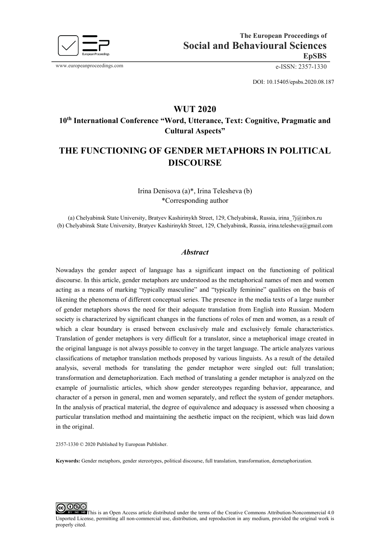

www.europeanproceedings.com e-ISSN: 2357-1330

DOI: 10.15405/epsbs.2020.08.187

# **WUT 2020 10th International Conference "Word, Utterance, Text: Cognitive, Pragmatic and**

**Cultural Aspects"** 

# **THE FUNCTIONING OF GENDER METAPHORS IN POLITICAL DISCOURSE**

Irina Denisova (a)\*, Irina Telesheva (b) \*Corresponding author

(a) Chelyabinsk State University, Bratyev Kashirinykh Street, 129, Chelyabinsk, Russia, [irina\\_7j@inbox.ru](mailto:irina_7j@inbox.ru) (b) Chelyabinsk State University, Bratyev Kashirinykh Street, 129, Chelyabinsk, Russia, [irina.telesheva@gmail.com](mailto:irina.telesheva@gmail.com) 

#### *Abstract*

Nowadays the gender aspect of language has a significant impact on the functioning of political discourse. In this article, gender metaphors are understood as the metaphorical names of men and women acting as a means of marking "typically masculine" and "typically feminine" qualities on the basis of likening the phenomena of different conceptual series. The presence in the media texts of a large number of gender metaphors shows the need for their adequate translation from English into Russian. Modern society is characterized by significant changes in the functions of roles of men and women, as a result of which a clear boundary is erased between exclusively male and exclusively female characteristics. Translation of gender metaphors is very difficult for a translator, since a metaphorical image created in the original language is not always possible to convey in the target language. The article analyzes various classifications of metaphor translation methods proposed by various linguists. As a result of the detailed analysis, several methods for translating the gender metaphor were singled out: full translation; transformation and demetaphorization. Each method of translating a gender metaphor is analyzed on the example of journalistic articles, which show gender stereotypes regarding behavior, appearance, and character of a person in general, men and women separately, and reflect the system of gender metaphors. In the analysis of practical material, the degree of equivalence and adequacy is assessed when choosing a particular translation method and maintaining the aesthetic impact on the recipient, which was laid down in the original.

2357-1330 © 2020 Published by European Publisher.

**Keywords:** Gender metaphors, gender stereotypes, political discourse, full translation, transformation, demetaphorization.

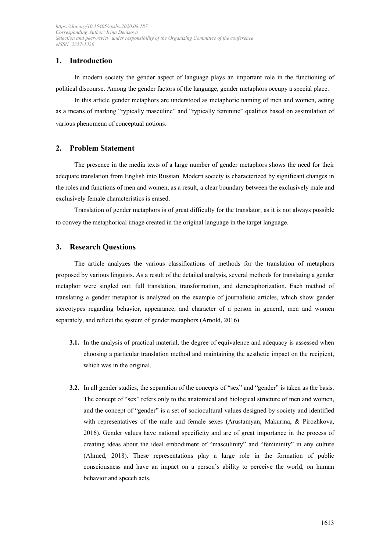# **1. Introduction**

In modern society the gender aspect of language plays an important role in the functioning of political discourse. Among the gender factors of the language, gender metaphors occupy a special place.

In this article gender metaphors are understood as metaphoric naming of men and women, acting as a means of marking "typically masculine" and "typically feminine" qualities based on assimilation of various phenomena of conceptual notions.

# **2. Problem Statement**

The presence in the media texts of a large number of gender metaphors shows the need for their adequate translation from English into Russian. Modern society is characterized by significant changes in the roles and functions of men and women, as a result, a clear boundary between the exclusively male and exclusively female characteristics is erased.

Translation of gender metaphors is of great difficulty for the translator, as it is not always possible to convey the metaphorical image created in the original language in the target language.

# **3. Research Questions**

The article analyzes the various classifications of methods for the translation of metaphors proposed by various linguists. As a result of the detailed analysis, several methods for translating a gender metaphor were singled out: full translation, transformation, and demetaphorization. Each method of translating a gender metaphor is analyzed on the example of journalistic articles, which show gender stereotypes regarding behavior, appearance, and character of a person in general, men and women separately, and reflect the system of gender metaphors (Arnold, 2016).

- **3.1.** In the analysis of practical material, the degree of equivalence and adequacy is assessed when choosing a particular translation method and maintaining the aesthetic impact on the recipient, which was in the original.
- **3.2.** In all gender studies, the separation of the concepts of "sex" and "gender" is taken as the basis. The concept of "sex" refers only to the anatomical and biological structure of men and women, and the concept of "gender" is a set of sociocultural values designed by society and identified with representatives of the male and female sexes (Arustamyan, Makurina, & Pirozhkova, 2016). Gender values have national specificity and are of great importance in the process of creating ideas about the ideal embodiment of "masculinity" and "femininity" in any culture (Ahmed, 2018). These representations play a large role in the formation of public consciousness and have an impact on a person's ability to perceive the world, on human behavior and speech acts.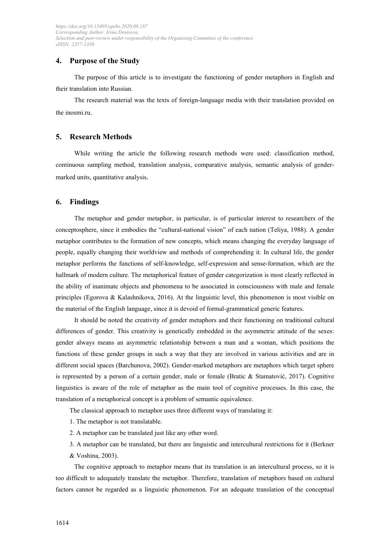# **4. Purpose of the Study**

The purpose of this article is to investigate the functioning of gender metaphors in English and their translation into Russian.

The research material was the texts of foreign-language media with their translation provided on the inosmi.ru.

### **5. Research Methods**

While writing the article the following research methods were used: classification method, continuous sampling method, translation analysis, comparative analysis, semantic analysis of gendermarked units, quantitative analysis.

#### **6. Findings**

The metaphor and gender metaphor, in particular, is of particular interest to researchers of the conceptosphere, since it embodies the "cultural-national vision" of each nation (Teliya, 1988). A gender metaphor contributes to the formation of new concepts, which means changing the everyday language of people, equally changing their worldview and methods of comprehending it. In cultural life, the gender metaphor performs the functions of self-knowledge, self-expression and sense-formation, which are the hallmark of modern culture. The metaphorical feature of gender categorization is most clearly reflected in the ability of inanimate objects and phenomena to be associated in consciousness with male and female principles (Egorova & Kalashnikova, 2016). At the linguistic level, this phenomenon is most visible on the material of the English language, since it is devoid of formal-grammatical generic features.

It should be noted the creativity of gender metaphors and their functioning on traditional cultural differences of gender. This creativity is genetically embedded in the asymmetric attitude of the sexes: gender always means an asymmetric relationship between a man and a woman, which positions the functions of these gender groups in such a way that they are involved in various activities and are in different social spaces (Barchunova, 2002). Gender-marked metaphors are metaphors which target sphere is represented by a person of a certain gender, male or female (Bratic & Stamatović, 2017). Cognitive linguistics is aware of the role of metaphor as the main tool of cognitive processes. In this case, the translation of a metaphorical concept is a problem of semantic equivalence.

The classical approach to metaphor uses three different ways of translating it:

- 1. The metaphor is not translatable.
- 2. A metaphor can be translated just like any other word.
- 3. A metaphor can be translated, but there are linguistic and intercultural restrictions for it (Berkner
- & Voshina, 2003).

The cognitive approach to metaphor means that its translation is an intercultural process, so it is too difficult to adequately translate the metaphor. Therefore, translation of metaphors based on cultural factors cannot be regarded as a linguistic phenomenon. For an adequate translation of the conceptual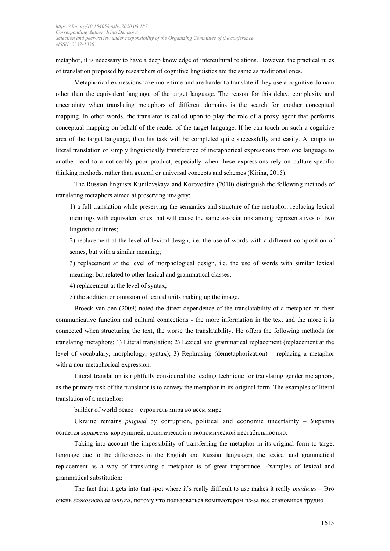metaphor, it is necessary to have a deep knowledge of intercultural relations. However, the practical rules of translation proposed by researchers of cognitive linguistics are the same as traditional ones.

Metaphorical expressions take more time and are harder to translate if they use a cognitive domain other than the equivalent language of the target language. The reason for this delay, complexity and uncertainty when translating metaphors of different domains is the search for another conceptual mapping. In other words, the translator is called upon to play the role of a proxy agent that performs conceptual mapping on behalf of the reader of the target language. If he can touch on such a cognitive area of the target language, then his task will be completed quite successfully and easily. Attempts to literal translation or simply linguistically transference of metaphorical expressions from one language to another lead to a noticeably poor product, especially when these expressions rely on culture-specific thinking methods. rather than general or universal concepts and schemes (Kirina, 2015).

The Russian linguists Kunilovskaya and Korovodina (2010) distinguish the following methods of translating metaphors aimed at preserving imagery:

1) a full translation while preserving the semantics and structure of the metaphor: replacing lexical meanings with equivalent ones that will cause the same associations among representatives of two linguistic cultures;

2) replacement at the level of lexical design, i.e. the use of words with a different composition of semes, but with a similar meaning;

3) replacement at the level of morphological design, i.e. the use of words with similar lexical meaning, but related to other lexical and grammatical classes;

4) replacement at the level of syntax;

5) the addition or omission of lexical units making up the image.

Broeck van den (2009) noted the direct dependence of the translatability of a metaphor on their communicative function and cultural connections - the more information in the text and the more it is connected when structuring the text, the worse the translatability. He offers the following methods for translating metaphors: 1) Literal translation; 2) Lexical and grammatical replacement (replacement at the level of vocabulary, morphology, syntax); 3) Rephrasing (demetaphorization) – replacing a metaphor with a non-metaphorical expression.

Literal translation is rightfully considered the leading technique for translating gender metaphors, as the primary task of the translator is to convey the metaphor in its original form. The examples of literal translation of a metaphor:

builder of world peace – строитель мира во всем мире

Ukraine remains *plagued* by corruption, political and economic [uncertainty](https://translate.google.com/translate?hl=ru&prev=_t&sl=ru&tl=en&u=http://www.atlanticcouncil.org/blogs/ukrainealert/how-ukraine-s-never-ending-transition-makes-the-rich-richer-and-everyone-else-poorer) – Украина остается *заражена* коррупцией, политической и экономической нестабильностью.

Taking into account the impossibility of transferring the metaphor in its original form to target language due to the differences in the English and Russian languages, the lexical and grammatical replacement as a way of translating a metaphor is of great importance. Examples of lexical and grammatical substitution:

The fact that it gets into that spot where it's really difficult to use makes it really *insidious* – Это очень *злокозненная штука*, потому что пользоваться компьютером из-за нее становится трудно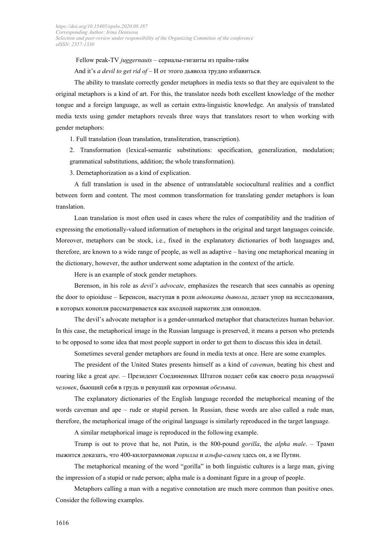Fellow peak-TV *juggernauts* – сериалы-гиганты из прайм-тайм And it's *a devil to get rid of* – И от этого дьявола трудно избавиться.

The ability to translate correctly gender metaphors in media texts so that they are equivalent to the original metaphors is a kind of art. For this, the translator needs both excellent knowledge of the mother tongue and a foreign language, as well as certain extra-linguistic knowledge. An analysis of translated media texts using gender metaphors reveals three ways that translators resort to when working with gender metaphors:

1. Full translation (loan translation, transliteration, transcription).

2. Transformation (lexical-semantic substitutions: specification, generalization, modulation; grammatical substitutions, addition; the whole transformation).

3. Demetaphorization as a kind of explication.

A full translation is used in the absence of untranslatable sociocultural realities and a conflict between form and content. The most common transformation for translating gender metaphors is loan translation.

Loan translation is most often used in cases where the rules of compatibility and the tradition of expressing the emotionally-valued information of metaphors in the original and target languages coincide. Moreover, metaphors can be stock, i.e., fixed in the explanatory dictionaries of both languages and, therefore, are known to a wide range of people, as well as adaptive – having one metaphorical meaning in the dictionary, however, the author underwent some adaptation in the context of the article.

Here is an example of stock gender metaphors.

Berenson, in his role as *devil's advocate*, emphasizes the research that sees cannabis as opening the door to opioiduse – Беренсон, выступая в роли *адвоката дьявола*, делает упор на исследования, в которых конопля рассматривается как входной наркотик для опиоидов.

The devil's advocate metaphor is a gender-unmarked metaphor that characterizes human behavior. In this case, the metaphorical image in the Russian language is preserved, it means a person who pretends to be opposed to some idea that most people support in order to get them to discuss this idea in detail.

Sometimes several gender metaphors are found in media texts at once. Here are some examples.

The president of the United States presents himself as a kind of *caveman*, beating his chest and roaring like a great *ape*. – Президент Соединенных Штатов подает себя как своего рода *пещерный человек*, бьющий себя в грудь и ревущий как огромная *обезьяна*.

The explanatory dictionaries of the English language recorded the metaphorical meaning of the words caveman and ape – rude or stupid person. In Russian, these words are also called a rude man, therefore, the metaphorical image of the original language is similarly reproduced in the target language.

A similar metaphorical image is reproduced in the following example.

Trump is out to prove that he, not Putin, is the 800-pound *gorilla*, the *alpha male*. – Трамп пыжится доказать, что 400-килограммовая *горилла* и *альфа-самец* здесь он, а не Путин.

The metaphorical meaning of the word "gorilla" in both linguistic cultures is a large man, giving the impression of a stupid or rude person; alpha male is a dominant figure in a group of people.

Metaphors calling a man with a negative connotation are much more common than positive ones. Consider the following examples.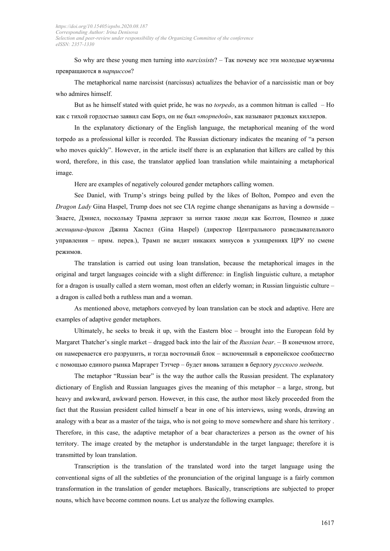So why are these young men turning into *narcissists*? – Так почему все эти молодые мужчины превращаются в *нарциссов*?

The metaphorical name narcissist (narcissus) actualizes the behavior of a narcissistic man or boy who admires himself.

But as he himself stated with quiet pride, he was no *torpedo*, as a common hitman is called – Но как с тихой гордостью заявил сам Борз, он не был «*торпедой*», как называют рядовых киллеров.

In the explanatory dictionary of the English language, the metaphorical meaning of the word torpedo as a professional killer is recorded. The Russian dictionary indicates the meaning of "a person who moves quickly". However, in the article itself there is an explanation that killers are called by this word, therefore, in this case, the translator applied loan translation while maintaining a metaphorical image.

Here are examples of negatively coloured gender metaphors calling women.

See Daniel, with Trump's strings being pulled by the likes of Bolton, Pompeo and even the *Dragon Lady* Gina Haspel, Trump does not see CIA regime change shenanigans as having a downside – Знаете, Дэниел, поскольку Трампа дергают за нитки такие люди как Болтон, Помпео и даже *женщина-дракон* Джина Хаспел (Gina Haspel) (директор Центрального разведывательного управления – прим. перев.), Трамп не видит никаких минусов в ухищрениях ЦРУ по смене режимов.

The translation is carried out using loan translation, because the metaphorical images in the original and target languages coincide with a slight difference: in English linguistic culture, a metaphor for a dragon is usually called a stern woman, most often an elderly woman; in Russian linguistic culture – a dragon is called both a ruthless man and a woman.

As mentioned above, metaphors conveyed by loan translation can be stock and adaptive. Here are examples of adaptive gender metaphors.

Ultimately, he seeks to break it up, with the Eastern bloc – brought into the European fold by Margaret Thatcher's single market – dragged back into the lair of the *Russian bear*. – В конечном итоге, он намеревается его разрушить, и тогда восточный блок – включенный в европейское сообщество с помощью единого рынка Маргарет Тэтчер – будет вновь затащен в берлогу *русского медведя*.

The metaphor "Russian bear" is the way the author calls the Russian president. The explanatory dictionary of English and Russian languages gives the meaning of this metaphor – a large, strong, but heavy and awkward, awkward person. However, in this case, the author most likely proceeded from the fact that the Russian president called himself a bear in one of his interviews, using words, drawing an analogy with a bear as a master of the taiga, who is not going to move somewhere and share his territory . Therefore, in this case, the adaptive metaphor of a bear characterizes a person as the owner of his territory. The image created by the metaphor is understandable in the target language; therefore it is transmitted by loan translation.

Transcription is the translation of the translated word into the target language using the conventional signs of all the subtleties of the pronunciation of the original language is a fairly common transformation in the translation of gender metaphors. Basically, transcriptions are subjected to proper nouns, which have become common nouns. Let us analyze the following examples.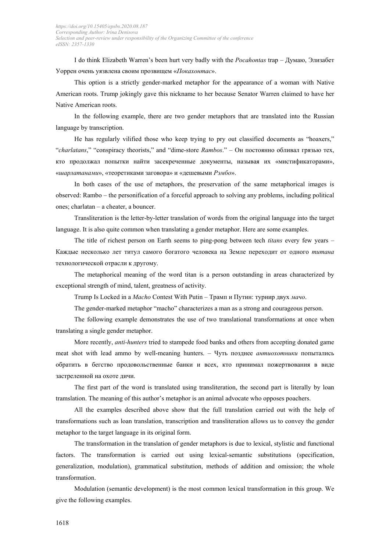I do think Elizabeth Warren's been hurt very badly with the *Pocahontas* trap – Думаю, Элизабет Уоррен очень уязвлена своим прозвищем «*Покахонтас*».

This option is a strictly gender-marked metaphor for the appearance of a woman with Native American roots. Trump jokingly gave this nickname to her because Senator Warren claimed to have her Native American roots.

In the following example, there are two gender metaphors that are translated into the Russian language by transcription.

He has regularly vilified those who keep trying to pry out classified documents as "hoaxers," "*charlatans*," "conspiracy theorists," and "dime-store *Rambos*." – Он постоянно обливал грязью тех, кто продолжал попытки найти засекреченные документы, называя их «мистификаторами», «*шарлатанами*», «теоретиками заговора» и «дешевыми *Рэмбо*».

In both cases of the use of metaphors, the preservation of the same metaphorical images is observed: Rambo – the personification of a forceful approach to solving any problems, including political ones; charlatan – a cheater, a bouncer.

Transliteration is the letter-by-letter translation of words from the original language into the target language. It is also quite common when translating a gender metaphor. Here are some examples.

The title of richest person on Earth seems to ping-pong between tech *titans* every few years – Каждые несколько лет титул самого богатого человека на Земле переходит от одного *титана* технологической отрасли к другому.

The metaphorical meaning of the word titan is a person outstanding in areas characterized by exceptional strength of mind, talent, greatness of activity.

Trump Is Locked in a *Macho* Contest With Putin – Трамп и Путин: турнир двух *мачо*.

The gender-marked metaphor "macho" characterizes a man as a strong and courageous person.

The following example demonstrates the use of two translational transformations at once when translating a single gender metaphor.

More recently, *anti-hunters* tried to stampede food banks and others from accepting donated game meat shot with lead ammo by well-meaning hunters. – Чуть позднее *антиохотники* попытались обратить в бегство продовольственные банки и всех, кто принимал пожертвования в виде застреленной на охоте дичи.

The first part of the word is translated using transliteration, the second part is literally by loan tramslation. The meaning of this author's metaphor is an animal advocate who opposes poachers.

All the examples described above show that the full translation carried out with the help of transformations such as loan translation, transcription and transliteration allows us to convey the gender metaphor to the target language in its original form.

The transformation in the translation of gender metaphors is due to lexical, stylistic and functional factors. The transformation is carried out using lexical-semantic substitutions (specification, generalization, modulation), grammatical substitution, methods of addition and omission; the whole transformation.

Modulation (semantic development) is the most common lexical transformation in this group. We give the following examples.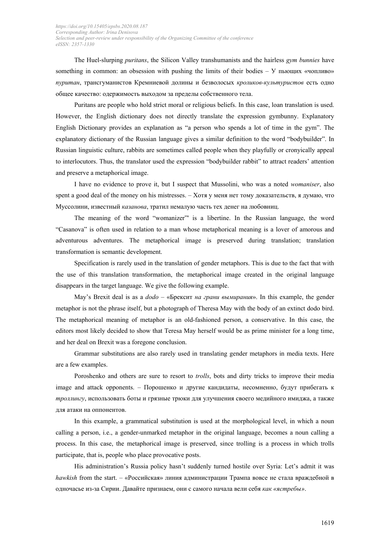The Huel-slurping *puritans*, the Silicon Valley transhumanists and the hairless *gym bunnies* have something in common: an obsession with pushing the limits of their bodies – У пьющих «чопливо» *пуритан*, трансгуманистов Кремниевой долины и безволосых *кроликов-культуристов* есть одно общее качество: одержимость выходом за пределы собственного тела.

Puritans are people who hold strict moral or religious beliefs. In this case, loan translation is used. However, the English dictionary does not directly translate the expression gymbunny. Explanatory English Dictionary provides an explanation as "a person who spends a lot of time in the gym". The explanatory dictionary of the Russian language gives a similar definition to the word "bodybuilder". In Russian linguistic culture, rabbits are sometimes called people when they playfully or cronyically appeal to interlocutors. Thus, the translator used the expression "bodybuilder rabbit" to attract readers' attention and preserve a metaphorical image.

I have no evidence to prove it, but I suspect that Mussolini, who was a noted *womaniser*, also spent a good deal of the money on his mistresses. – Хотя у меня нет тому доказательств, я думаю, что Муссолини, известный *казанова*, тратил немалую часть тех денег на любовниц.

The meaning of the word "womanizer"' is a libertine. In the Russian language, the word "Casanova" is often used in relation to a man whose metaphorical meaning is a lover of amorous and adventurous adventures. The metaphorical image is preserved during translation; translation transformation is semantic development.

Specification is rarely used in the translation of gender metaphors. This is due to the fact that with the use of this translation transformation, the metaphorical image created in the original language disappears in the target language. We give the following example.

May's Brexit deal is as a *dodo* – «Брексит *на грани вымирания*». In this example, the gender metaphor is not the phrase itself, but a photograph of Theresa May with the body of an extinct dodo bird. The metaphorical meaning of metaphor is an old-fashioned person, a conservative. In this case, the editors most likely decided to show that Teresa May herself would be as prime minister for a long time, and her deal on Brexit was a foregone conclusion.

Grammar substitutions are also rarely used in translating gender metaphors in media texts. Here are a few examples.

Poroshenko and others are sure to resort to *trolls*, bots and dirty tricks to improve their media image and attack opponents. – Порошенко и другие кандидаты, несомненно, будут прибегать к *троллингу*, использовать боты и грязные трюки для улучшения своего медийного имиджа, а также для атаки на оппонентов.

In this example, a grammatical substitution is used at the morphological level, in which a noun calling a person, i.e., a gender-unmarked metaphor in the original language, becomes a noun calling a process. In this case, the metaphorical image is preserved, since trolling is a process in which trolls participate, that is, people who place provocative posts.

His administration's Russia policy hasn't suddenly turned hostile over Syria: Let's admit it was *hawkish* from the start. – «Российская» линия администрации Трампа вовсе не стала враждебной в одночасье из-за Сирии. Давайте признаем, они с самого начала вели себя *как «ястребы»*.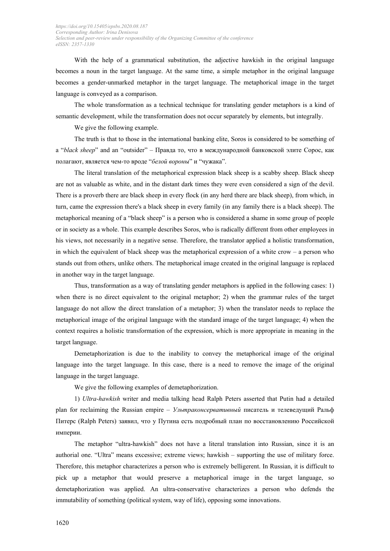With the help of a grammatical substitution, the adjective hawkish in the original language becomes a noun in the target language. At the same time, a simple metaphor in the original language becomes a gender-unmarked metaphor in the target language. The metaphorical image in the target language is conveyed as a comparison.

The whole transformation as a technical technique for translating gender metaphors is a kind of semantic development, while the transformation does not occur separately by elements, but integrally.

We give the following example.

The truth is that to those in the international banking elite, Soros is considered to be something of a "*black sheep*" and an "outsider" – Правда то, что в международной банковской элите Сорос, как полагают, является чем-то вроде "*белой вороны*" и "чужака".

The literal translation of the metaphorical expression black sheep is a scabby sheep. Black sheep are not as valuable as white, and in the distant dark times they were even considered a sign of the devil. There is a proverb there are black sheep in every flock (in any herd there are black sheep), from which, in turn, came the expression there's a black sheep in every family (in any family there is a black sheep). The metaphorical meaning of a "black sheep" is a person who is considered a shame in some group of people or in society as a whole. This example describes Soros, who is radically different from other employees in his views, not necessarily in a negative sense. Therefore, the translator applied a holistic transformation, in which the equivalent of black sheep was the metaphorical expression of a white crow – a person who stands out from others, unlike others. The metaphorical image created in the original language is replaced in another way in the target language.

Thus, transformation as a way of translating gender metaphors is applied in the following cases: 1) when there is no direct equivalent to the original metaphor; 2) when the grammar rules of the target language do not allow the direct translation of a metaphor; 3) when the translator needs to replace the metaphorical image of the original language with the standard image of the target language; 4) when the context requires a holistic transformation of the expression, which is more appropriate in meaning in the target language.

Demetaphorization is due to the inability to convey the metaphorical image of the original language into the target language. In this case, there is a need to remove the image of the original language in the target language.

We give the following examples of demetaphorization.

1) *Ultra-hawkish* writer and media talking head Ralph Peters asserted that Putin had a detailed plan for reclaiming the Russian empire – *Ультраконсервативный* писатель и телеведущий Ральф Питерс (Ralph Peters) заявил, что у Путина есть подробный план по восстановлению Российской империи.

The metaphor "ultra-hawkish" does not have a literal translation into Russian, since it is an authorial one. "Ultra" means excessive; extreme views; hawkish – supporting the use of military force. Therefore, this metaphor characterizes a person who is extremely belligerent. In Russian, it is difficult to pick up a metaphor that would preserve a metaphorical image in the target language, so demetaphorization was applied. An ultra-conservative characterizes a person who defends the immutability of something (political system, way of life), opposing some innovations.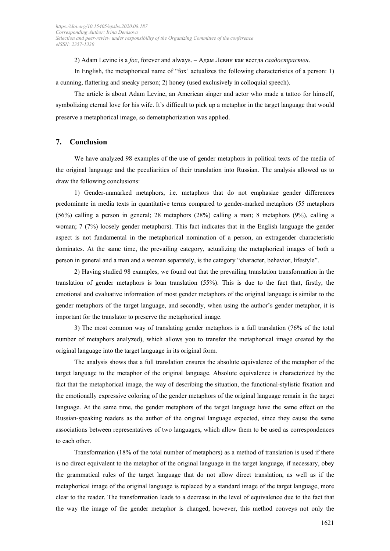2) Adam Levine is a *fox*, forever and always. – Адам Левин как всегда *сладострастен*.

In English, the metaphorical name of "fox' actualizes the following characteristics of a person: 1) a cunning, flattering and sneaky person; 2) honey (used exclusively in colloquial speech).

The article is about Adam Levine, an American singer and actor who made a tattoo for himself, symbolizing eternal love for his wife. It's difficult to pick up a metaphor in the target language that would preserve a metaphorical image, so demetaphorization was applied.

# **7. Conclusion**

We have analyzed 98 examples of the use of gender metaphors in political texts of the media of the original language and the peculiarities of their translation into Russian. The analysis allowed us to draw the following conclusions:

1) Gender-unmarked metaphors, i.e. metaphors that do not emphasize gender differences predominate in media texts in quantitative terms compared to gender-marked metaphors (55 metaphors (56%) calling a person in general; 28 metaphors (28%) calling a man; 8 metaphors (9%), calling a woman; 7 (7%) loosely gender metaphors). This fact indicates that in the English language the gender aspect is not fundamental in the metaphorical nomination of a person, an extragender characteristic dominates. At the same time, the prevailing category, actualizing the metaphorical images of both a person in general and a man and a woman separately, is the category "character, behavior, lifestyle".

2) Having studied 98 examples, we found out that the prevailing translation transformation in the translation of gender metaphors is loan translation (55%). This is due to the fact that, firstly, the emotional and evaluative information of most gender metaphors of the original language is similar to the gender metaphors of the target language, and secondly, when using the author's gender metaphor, it is important for the translator to preserve the metaphorical image.

3) The most common way of translating gender metaphors is a full translation (76% of the total number of metaphors analyzed), which allows you to transfer the metaphorical image created by the original language into the target language in its original form.

The analysis shows that a full translation ensures the absolute equivalence of the metaphor of the target language to the metaphor of the original language. Absolute equivalence is characterized by the fact that the metaphorical image, the way of describing the situation, the functional-stylistic fixation and the emotionally expressive coloring of the gender metaphors of the original language remain in the target language. At the same time, the gender metaphors of the target language have the same effect on the Russian-speaking readers as the author of the original language expected, since they cause the same associations between representatives of two languages, which allow them to be used as correspondences to each other.

Transformation (18% of the total number of metaphors) as a method of translation is used if there is no direct equivalent to the metaphor of the original language in the target language, if necessary, obey the grammatical rules of the target language that do not allow direct translation, as well as if the metaphorical image of the original language is replaced by a standard image of the target language, more clear to the reader. The transformation leads to a decrease in the level of equivalence due to the fact that the way the image of the gender metaphor is changed, however, this method conveys not only the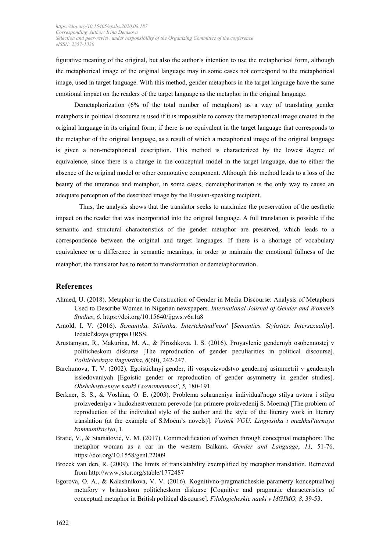figurative meaning of the original, but also the author's intention to use the metaphorical form, although the metaphorical image of the original language may in some cases not correspond to the metaphorical image, used in target language. With this method, gender metaphors in the target language have the same emotional impact on the readers of the target language as the metaphor in the original language.

Demetaphorization (6% of the total number of metaphors) as a way of translating gender metaphors in political discourse is used if it is impossible to convey the metaphorical image created in the original language in its original form; if there is no equivalent in the target language that corresponds to the metaphor of the original language, as a result of which a metaphorical image of the original language is given a non-metaphorical description. This method is characterized by the lowest degree of equivalence, since there is a change in the conceptual model in the target language, due to either the absence of the original model or other connotative component. Although this method leads to a loss of the beauty of the utterance and metaphor, in some cases, demetaphorization is the only way to cause an adequate perception of the described image by the Russian-speaking recipient.

Thus, the analysis shows that the translator seeks to maximize the preservation of the aesthetic impact on the reader that was incorporated into the original language. A full translation is possible if the semantic and structural characteristics of the gender metaphor are preserved, which leads to a correspondence between the original and target languages. If there is a shortage of vocabulary equivalence or a difference in semantic meanings, in order to maintain the emotional fullness of the metaphor, the translator has to resort to transformation or demetaphorization.

### **References**

- Ahmed, U. (2018). Metaphor in the Construction of Gender in Media Discourse: Analysis of Metaphors Used to Describe Women in Nigerian newspapers. *International Journal of Gender and Women's Studies*, *6*. https://doi.org/10.15640/ijgws.v6n1a8
- Arnold, I. V. (2016). *Semantika. Stilistika. Intertekstual'nost'* [*Semantics. Stylistics. Intersexuality*]. Izdatel'skaya gruppa URSS.
- Arustamyan, R., Makurina, M. A., & Pirozhkova, I. S. (2016). Proyavlenie gendernyh osobennostej v politicheskom diskurse [The reproduction of gender peculiarities in political discourse]. *Politicheskaya lingvistika*, *6*(60), 242-247.
- Barchunova, T. V. (2002). Egoistichnyj gender, ili vosproizvodstvo gendernoj asimmetrii v gendernyh issledovaniyah [Egoistic gender or reproduction of gender asymmetry in gender studies]. *Obshchestvennye nauki i sovremennost'*, *5,* 180-191.
- Berkner, S. S., & Voshina, O. E. (2003). Problema sohraneniya individual'nogo stilya avtora i stilya proizvedeniya v hudozhestvennom perevode (na primere proizvedenij S. Moema) [The problem of reproduction of the individual style of the author and the style of the literary work in literary translation (at the example of S.Moem's novels)]. *Vestnik VGU. Lingvistika i mezhkul'turnaya kommunikaciya*, 1.
- Bratic, V., & Stamatović, V. M. (2017). Commodification of women through conceptual metaphors: The metaphor woman as a car in the western Balkans. *Gender and Language*, *11,* 51-76. https://doi.org/10.1558/genl.22009
- Broeck van den, R. (2009). The limits of translatability exemplified by metaphor translation. Retrieved from http://www.jstor.org/stable/1772487
- Egorova, O. A., & Kalashnikova, V. V. (2016). Kognitivno-pragmaticheskie parametry konceptual'noj metafory v britanskom politicheskom diskurse [Cognitive and pragmatic characteristics of conceptual metaphor in British political discourse]. *Filologicheskie nauki v MGIMO, 8,* 39-53.